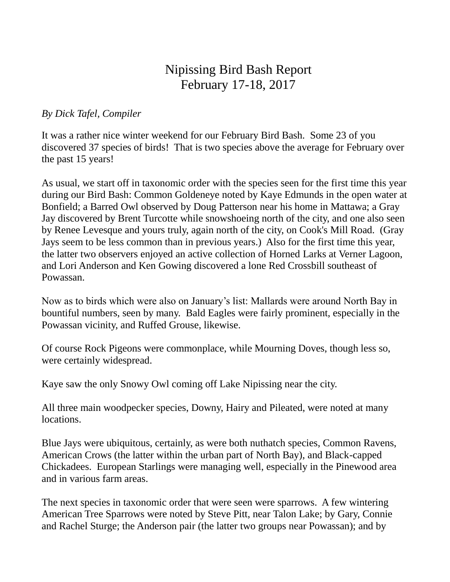## Nipissing Bird Bash Report February 17-18, 2017

## *By Dick Tafel, Compiler*

It was a rather nice winter weekend for our February Bird Bash. Some 23 of you discovered 37 species of birds! That is two species above the average for February over the past 15 years!

As usual, we start off in taxonomic order with the species seen for the first time this year during our Bird Bash: Common Goldeneye noted by Kaye Edmunds in the open water at Bonfield; a Barred Owl observed by Doug Patterson near his home in Mattawa; a Gray Jay discovered by Brent Turcotte while snowshoeing north of the city, and one also seen by Renee Levesque and yours truly, again north of the city, on Cook's Mill Road. (Gray Jays seem to be less common than in previous years.) Also for the first time this year, the latter two observers enjoyed an active collection of Horned Larks at Verner Lagoon, and Lori Anderson and Ken Gowing discovered a lone Red Crossbill southeast of Powassan.

Now as to birds which were also on January's list: Mallards were around North Bay in bountiful numbers, seen by many. Bald Eagles were fairly prominent, especially in the Powassan vicinity, and Ruffed Grouse, likewise.

Of course Rock Pigeons were commonplace, while Mourning Doves, though less so, were certainly widespread.

Kaye saw the only Snowy Owl coming off Lake Nipissing near the city.

All three main woodpecker species, Downy, Hairy and Pileated, were noted at many locations.

Blue Jays were ubiquitous, certainly, as were both nuthatch species, Common Ravens, American Crows (the latter within the urban part of North Bay), and Black-capped Chickadees. European Starlings were managing well, especially in the Pinewood area and in various farm areas.

The next species in taxonomic order that were seen were sparrows. A few wintering American Tree Sparrows were noted by Steve Pitt, near Talon Lake; by Gary, Connie and Rachel Sturge; the Anderson pair (the latter two groups near Powassan); and by